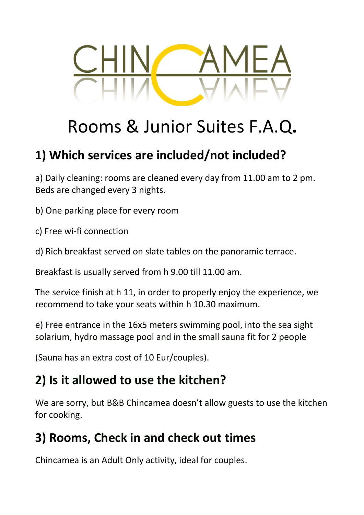

# Rooms & Junior Suites F.A.Q**.**

#### **1) Which services are included/not included?**

a) Daily cleaning: rooms are cleaned every day from 11.00 am to 2 pm. Beds are changed every 3 nights.

b) One parking place for every room

- c) Free wi-fi connection
- d) Rich breakfast served on slate tables on the panoramic terrace.

Breakfast is usually served from h 9.00 till 11.00 am.

The service finish at h 11, in order to properly enjoy the experience, we recommend to take your seats within h 10.30 maximum.

e) Free entrance in the 16x5 meters swimming pool, into the sea sight solarium, hydro massage pool and in the small sauna fit for 2 people

(Sauna has an extra cost of 10 Eur/couples).

### **2) Is it allowed to use the kitchen?**

We are sorry, but B&B Chincamea doesn't allow guests to use the kitchen for cooking.

#### **3) Rooms, Check in and check out times**

Chincamea is an Adult Only activity, ideal for couples.